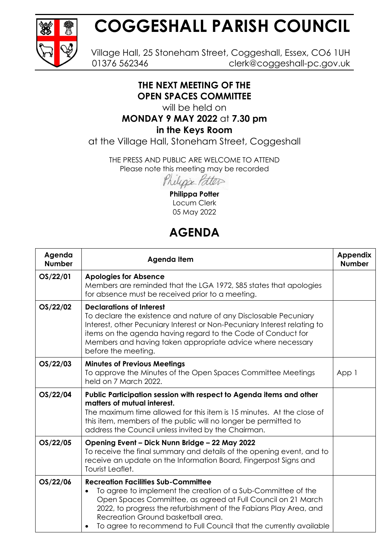

# **COGGESHALL PARISH COUNCIL**

Village Hall, 25 Stoneham Street, Coggeshall, Essex, CO6 1UH 01376 562346 clerk@coggeshall-pc.gov.uk

### **THE NEXT MEETING OF THE OPEN SPACES COMMITTEE**

will be held on

## **MONDAY 9 MAY 2022** at **7.30 pm**

#### **in the Keys Room**

at the Village Hall, Stoneham Street, Coggeshall

THE PRESS AND PUBLIC ARE WELCOME TO ATTEND Please note this meeting may be recorded

Philippe Patter

**Philippa Potter** Locum Clerk 05 May 2022

# **AGENDA**

| Agenda<br><b>Number</b> | <b>Agenda Item</b>                                                                                                                                                                                                                                                                                                                                                       | <b>Appendix</b><br><b>Number</b> |
|-------------------------|--------------------------------------------------------------------------------------------------------------------------------------------------------------------------------------------------------------------------------------------------------------------------------------------------------------------------------------------------------------------------|----------------------------------|
| OS/22/01                | <b>Apologies for Absence</b><br>Members are reminded that the LGA 1972, \$85 states that apologies<br>for absence must be received prior to a meeting.                                                                                                                                                                                                                   |                                  |
| OS/22/02                | <b>Declarations of Interest</b><br>To declare the existence and nature of any Disclosable Pecuniary<br>Interest, other Pecuniary Interest or Non-Pecuniary Interest relating to<br>items on the agenda having regard to the Code of Conduct for<br>Members and having taken appropriate advice where necessary<br>before the meeting.                                    |                                  |
| OS/22/03                | <b>Minutes of Previous Meetings</b><br>To approve the Minutes of the Open Spaces Committee Meetings<br>held on 7 March 2022.                                                                                                                                                                                                                                             | App 1                            |
| OS/22/04                | Public Participation session with respect to Agenda items and other<br>matters of mutual interest.<br>The maximum time allowed for this item is 15 minutes. At the close of<br>this item, members of the public will no longer be permitted to<br>address the Council unless invited by the Chairman.                                                                    |                                  |
| OS/22/05                | Opening Event - Dick Nunn Bridge - 22 May 2022<br>To receive the final summary and details of the opening event, and to<br>receive an update on the Information Board, Fingerpost Signs and<br>Tourist Leaflet.                                                                                                                                                          |                                  |
| OS/22/06                | <b>Recreation Facilities Sub-Committee</b><br>To agree to implement the creation of a Sub-Committee of the<br>$\bullet$<br>Open Spaces Committee, as agreed at Full Council on 21 March<br>2022, to progress the refurbishment of the Fabians Play Area, and<br>Recreation Ground basketball area.<br>To agree to recommend to Full Council that the currently available |                                  |